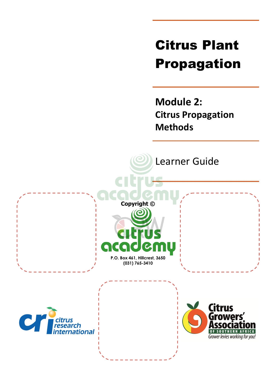# Citrus Plant Propagation

**Module 2: Citrus Propagation Methods**

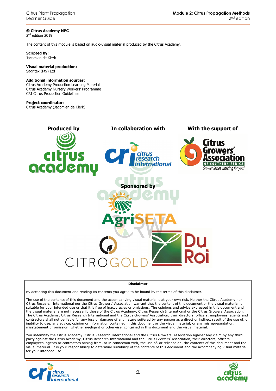**© Citrus Academy NPC**  2 nd edition 2019

The content of this module is based on audio-visual material produced by the Citrus Academy.

**Scripted by:**  Jacomien de Klerk

#### **Visual material production:**  Sagritex (Pty) Ltd

#### **Additional information sources:**

Citrus Academy Production Learning Material Citrus Academy Nursery Workers' Programme CRI Citrus Production Guidelines

#### **Project coordinator:**

Citrus Academy (Jacomien de Klerk)



#### **Disclaimer**

By accepting this document and reading its contents you agree to be bound by the terms of this disclaimer.

The use of the contents of this document and the accompanying visual material is at your own risk. Neither the Citrus Academy nor Citrus Research International nor the Citrus Growers' Association warrant that the content of this document or the visual material is suitable for your intended use or that it is free of inaccuracies or omissions. The opinions and advice expressed in this document and the visual material are not necessarily those of the Citrus Academy, Citrus Research International or the Citrus Growers' Association. The Citrus Academy, Citrus Research International and the Citrus Growers' Association, their directors, officers, employees, agents and contractors shall not be liable for any loss or damage of any nature suffered by any person as a direct or indirect result of the use of, or inability to use, any advice, opinion or information contained in this document or the visual material, or any misrepresentation, misstatement or omission, whether negligent or otherwise, contained in this document and the visual material.

You indemnify the Citrus Academy, Citrus Research International and the Citrus Growers' Association against any claim by any third party against the Citrus Academy, Citrus Research International and the Citrus Growers' Association, their directors, officers, employees, agents or contractors arising from, or in connection with, the use of, or reliance on, the contents of this document and the visual material. It is your responsibility to determine suitability of the contents of this document and the accompanying visual material for your intended use.



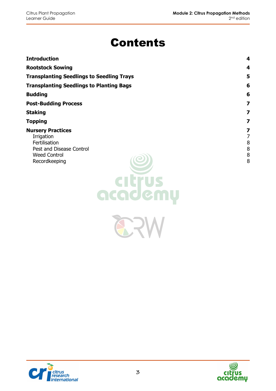# Contents

| <b>Introduction</b>                                                                                                                    | 4                          |
|----------------------------------------------------------------------------------------------------------------------------------------|----------------------------|
| <b>Rootstock Sowing</b>                                                                                                                | 4                          |
| <b>Transplanting Seedlings to Seedling Trays</b>                                                                                       | 5                          |
| <b>Transplanting Seedlings to Planting Bags</b>                                                                                        | 6                          |
| <b>Budding</b>                                                                                                                         | 6                          |
| <b>Post-Budding Process</b>                                                                                                            | $\overline{\mathbf{z}}$    |
| <b>Staking</b>                                                                                                                         | 7                          |
| <b>Topping</b>                                                                                                                         | $\overline{\mathbf{z}}$    |
| <b>Nursery Practices</b><br>Irrigation<br>Fertilisation<br>Pest and Disease Control<br><b>Weed Control</b><br>Recordkeeping<br>gcgdemu | 7<br>7<br>8<br>8<br>8<br>8 |

ERV



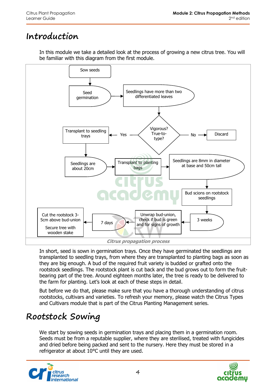### **Introduction**

In this module we take a detailed look at the process of growing a new citrus tree. You will be familiar with this diagram from the first module.



In short, seed is sown in germination trays. Once they have germinated the seedlings are transplanted to seedling trays, from where they are transplanted to planting bags as soon as they are big enough. A bud of the required fruit variety is budded or grafted onto the rootstock seedlings. The rootstock plant is cut back and the bud grows out to form the fruitbearing part of the tree. Around eighteen months later, the tree is ready to be delivered to the farm for planting. Let's look at each of these steps in detail.

But before we do that, please make sure that you have a thorough understanding of citrus rootstocks, cultivars and varieties. To refresh your memory, please watch the Citrus Types and Cultivars module that is part of the Citrus Planting Management series.

# **Rootstock Sowing**

We start by sowing seeds in germination trays and placing them in a germination room. Seeds must be from a reputable supplier, where they are sterilised, treated with fungicides and dried before being packed and sent to the nursery. Here they must be stored in a refrigerator at about 10°C until they are used.



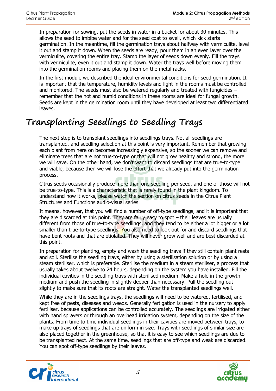In preparation for sowing, put the seeds in water in a bucket for about 30 minutes. This allows the seed to imbibe water and for the seed coat to swell, which kick starts germination. In the meantime, fill the germination trays about halfway with vermiculite, level it out and stamp it down. When the seeds are ready, pour them in an even layer over the vermiculite, covering the entire tray. Stamp the layer of seeds down evenly. Fill the trays with vermiculite, even it out and stamp it down. Water the trays well before moving them into the germination rooms and placing them on the metal racks.

In the first module we described the ideal environmental conditions for seed germination. It is important that the temperature, humidity levels and light in the rooms must be controlled and monitored. The seeds must also be watered regularly and treated with fungicides – remember that the hot and humid conditions in these rooms are ideal for fungal growth. Seeds are kept in the germination room until they have developed at least two differentiated leaves.

# **Transplanting Seedlings to Seedling Trays**

The next step is to transplant seedlings into seedlings trays. Not all seedlings are transplanted, and seedling selection at this point is very important. Remember that growing each plant from here on becomes increasingly expensive, so the sooner we can remove and eliminate trees that are not true-to-type or that will not grow healthy and strong, the more we will save. On the other hand, we don't want to discard seedlings that are true-to-type and viable, because then we will lose the effort that we already put into the germination process. **TEAT** 

Citrus seeds occasionally produce more than one seedling per seed, and one of those will not be true-to-type. This is a characteristic that is rarely found in the plant kingdom. To understand how it works, please watch the section on citrus seeds in the Citrus Plant Structures and Functions audio-visual series.

It means, however, that you will find a number of off-type seedlings, and it is important that they are discarded at this point. They are fairly easy to spot – their leaves are usually different from those of true-to-type seedlings, and they tend to be either a lot bigger or a lot smaller than true-to-type seedlings. You also need to look out for and discard seedlings that have bent roots and that are etiolated. They will never grow well and are best discarded at this point.

In preparation for planting, empty and wash the seedling trays if they still contain plant rests and soil. Sterilise the seedling trays, either by using a sterilisation solution or by using a steam steriliser, which is preferable. Sterilise the medium in a steam steriliser, a process that usually takes about twelve to 24 hours, depending on the system you have installed. Fill the individual cavities in the seedling trays with sterilised medium. Make a hole in the growth medium and push the seedling in slightly deeper than necessary. Pull the seedling out slightly to make sure that its roots are straight. Water the transplanted seedlings well.

While they are in the seedlings trays, the seedlings will need to be watered, fertilised, and kept free of pests, diseases and weeds. Generally fertigation is used in the nursery to apply fertiliser, because applications can be controlled accurately. The seedlings are irrigated either with hand sprayers or through an overhead irrigation system, depending on the size of the plants. From time to time individual seedlings in their cavities are moved between trays, to make up trays of seedlings that are uniform in size. Trays with seedlings of similar size are also placed together in the greenhouse, so that it is easy to see which seedlings are due to be transplanted next. At the same time, seedlings that are off-type and weak are discarded. You can spot off-type seedlings by their leaves.



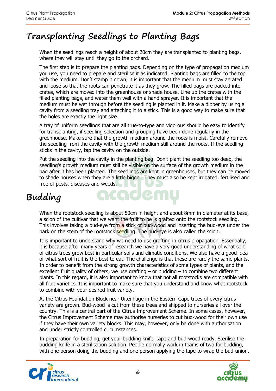### **Transplanting Seedlings to Planting Bags**

When the seedlings reach a height of about 20cm they are transplanted to planting bags, where they will stay until they go to the orchard.

The first step is to prepare the planting bags. Depending on the type of propagation medium you use, you need to prepare and sterilise it as indicated. Planting bags are filled to the top with the medium. Don't stamp it down; it is important that the medium must stay aerated and loose so that the roots can penetrate it as they grow. The filled bags are packed into crates, which are moved into the greenhouse or shade house. Line up the crates with the filled planting bags, and water them well with a hand sprayer. It is important that the medium must be wet through before the seedling is planted in it. Make a dibber by using a cavity from a seedling tray and attaching it to a stick. This is a good way to make sure that the holes are exactly the right size.

A tray of uniform seedlings that are all true-to-type and vigorous should be easy to identify for transplanting, if seedling selection and grouping have been done regularly in the greenhouse. Make sure that the growth medium around the roots is moist. Carefully remove the seedling from the cavity with the growth medium still around the roots. If the seedling sticks in the cavity, tap the cavity on the outside.

Put the seedling into the cavity in the planting bag. Don't plant the seedling too deep, the seedling's growth medium must still be visible on the surface of the growth medium in the bag after it has been planted. The seedlings are kept in greenhouses, but they can be moved to shade houses when they are a little bigger. They must also be kept irrigated, fertilised and free of pests, diseases and weeds.

# **Budding**

When the rootstock seedling is about 50cm in height and about 8mm in diameter at its base, a scion of the cultivar that we want the fruit to be is grafted onto the rootstock seedling. This involves taking a bud-eye from a stick of bud-wood and inserting the bud-eye under the bark on the stem of the rootstock seedling. The bud-eye is also called the scion.

acaden

It is important to understand why we need to use grafting in citrus propagation. Essentially, it is because after many years of research we have a very good understanding of what sort of citrus trees grow best in particular soils and climatic conditions. We also have a good idea of what sort of fruit is the best to eat. The challenge is that these are rarely the same plants. In order to benefit from the strong growth characteristics of some types of plants, and the excellent fruit quality of others, we use grafting  $-$  or budding  $-$  to combine two different plants. In this regard, it is also important to know that not all rootstocks are compatible with all fruit varieties. It is important to make sure that you understand and know what rootstock to combine with your desired fruit variety.

At the Citrus Foundation Block near Uitenhage in the Eastern Cape trees of every citrus variety are grown. Bud-wood is cut from these trees and shipped to nurseries all over the country. This is a central part of the Citrus Improvement Scheme. In some cases, however, the Citrus Improvement Scheme may authorise nurseries to cut bud-wood for their own use if they have their own variety blocks. This may, however, only be done with authorisation and under strictly controlled circumstances.

In preparation for budding, get your budding knife, tape and bud-wood ready. Sterilise the budding knife in a sterilisation solution. People normally work in teams of two for budding, with one person doing the budding and one person applying the tape to wrap the bud-union.



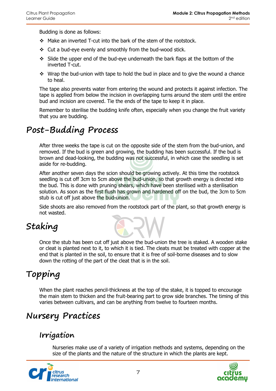Budding is done as follows:

- Make an inverted T-cut into the bark of the stem of the rootstock.
- Cut a bud-eye evenly and smoothly from the bud-wood stick.
- $\div$  Slide the upper end of the bud-eye underneath the bark flaps at the bottom of the inverted T-cut.
- $\cdot$  Wrap the bud-union with tape to hold the bud in place and to give the wound a chance to heal.

The tape also prevents water from entering the wound and protects it against infection. The tape is applied from below the incision in overlapping turns around the stem until the entire bud and incision are covered. Tie the ends of the tape to keep it in place.

Remember to sterilise the budding knife often, especially when you change the fruit variety that you are budding.

### **Post-Budding Process**

After three weeks the tape is cut on the opposite side of the stem from the bud-union, and removed. If the bud is green and growing, the budding has been successful. If the bud is brown and dead-looking, the budding was not successful, in which case the seedling is set aside for re-budding.

After another seven days the scion should be growing actively. At this time the rootstock seedling is cut off 3cm to 5cm above the bud-union, so that growth energy is directed into the bud. This is done with pruning shears, which have been sterilised with a sterilisation solution. As soon as the first flush has grown and hardened off on the bud, the 3cm to 5cm stub is cut off just above the bud-union.

Side shoots are also removed from the rootstock part of the plant, so that growth energy is not wasted.

# **Staking**

Once the stub has been cut off just above the bud-union the tree is staked. A wooden stake or cleat is planted next to it, to which it is tied. The cleats must be treated with copper at the end that is planted in the soil, to ensure that it is free of soil-borne diseases and to slow down the rotting of the part of the cleat that is in the soil.

# **Topping**

When the plant reaches pencil-thickness at the top of the stake, it is topped to encourage the main stem to thicken and the fruit-bearing part to grow side branches. The timing of this varies between cultivars, and can be anything from twelve to fourteen months.

### **Nursery Practices**

#### **Irrigation**

Nurseries make use of a variety of irrigation methods and systems, depending on the size of the plants and the nature of the structure in which the plants are kept.